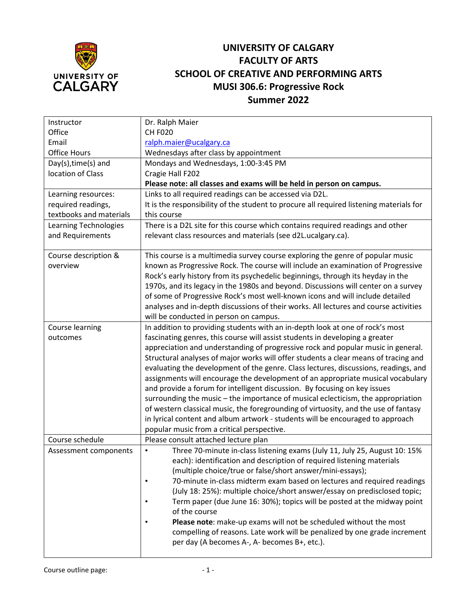

# **UNIVERSITY OF CALGARY FACULTY OF ARTS SCHOOL OF CREATIVE AND PERFORMING ARTS MUSI 306.6: Progressive Rock Summer 2022**

| Instructor              | Dr. Ralph Maier                                                                                                                                |
|-------------------------|------------------------------------------------------------------------------------------------------------------------------------------------|
| Office                  | <b>CH F020</b>                                                                                                                                 |
| Email                   | ralph.maier@ucalgary.ca                                                                                                                        |
| Office Hours            | Wednesdays after class by appointment                                                                                                          |
| Day(s), time(s) and     | Mondays and Wednesdays, 1:00-3:45 PM                                                                                                           |
| location of Class       | Cragie Hall F202                                                                                                                               |
|                         | Please note: all classes and exams will be held in person on campus.                                                                           |
| Learning resources:     | Links to all required readings can be accessed via D2L.                                                                                        |
| required readings,      | It is the responsibility of the student to procure all required listening materials for                                                        |
| textbooks and materials | this course                                                                                                                                    |
| Learning Technologies   | There is a D2L site for this course which contains required readings and other                                                                 |
| and Requirements        | relevant class resources and materials (see d2L.ucalgary.ca).                                                                                  |
| Course description &    | This course is a multimedia survey course exploring the genre of popular music                                                                 |
| overview                | known as Progressive Rock. The course will include an examination of Progressive                                                               |
|                         | Rock's early history from its psychedelic beginnings, through its heyday in the                                                                |
|                         | 1970s, and its legacy in the 1980s and beyond. Discussions will center on a survey                                                             |
|                         | of some of Progressive Rock's most well-known icons and will include detailed                                                                  |
|                         | analyses and in-depth discussions of their works. All lectures and course activities                                                           |
|                         | will be conducted in person on campus.                                                                                                         |
| Course learning         | In addition to providing students with an in-depth look at one of rock's most                                                                  |
| outcomes                | fascinating genres, this course will assist students in developing a greater                                                                   |
|                         | appreciation and understanding of progressive rock and popular music in general.                                                               |
|                         | Structural analyses of major works will offer students a clear means of tracing and                                                            |
|                         | evaluating the development of the genre. Class lectures, discussions, readings, and                                                            |
|                         | assignments will encourage the development of an appropriate musical vocabulary                                                                |
|                         | and provide a forum for intelligent discussion. By focusing on key issues                                                                      |
|                         | surrounding the music - the importance of musical eclecticism, the appropriation                                                               |
|                         | of western classical music, the foregrounding of virtuosity, and the use of fantasy                                                            |
|                         | in lyrical content and album artwork - students will be encouraged to approach                                                                 |
|                         | popular music from a critical perspective.                                                                                                     |
| Course schedule         | Please consult attached lecture plan                                                                                                           |
| Assessment components   | Three 70-minute in-class listening exams (July 11, July 25, August 10: 15%                                                                     |
|                         | each): identification and description of required listening materials                                                                          |
|                         | (multiple choice/true or false/short answer/mini-essays);                                                                                      |
|                         | 70-minute in-class midterm exam based on lectures and required readings                                                                        |
|                         | (July 18: 25%): multiple choice/short answer/essay on predisclosed topic;<br>$\bullet$                                                         |
|                         | Term paper (due June 16: 30%); topics will be posted at the midway point<br>of the course                                                      |
|                         |                                                                                                                                                |
|                         | Please note: make-up exams will not be scheduled without the most<br>compelling of reasons. Late work will be penalized by one grade increment |
|                         | per day (A becomes A-, A- becomes B+, etc.).                                                                                                   |
|                         |                                                                                                                                                |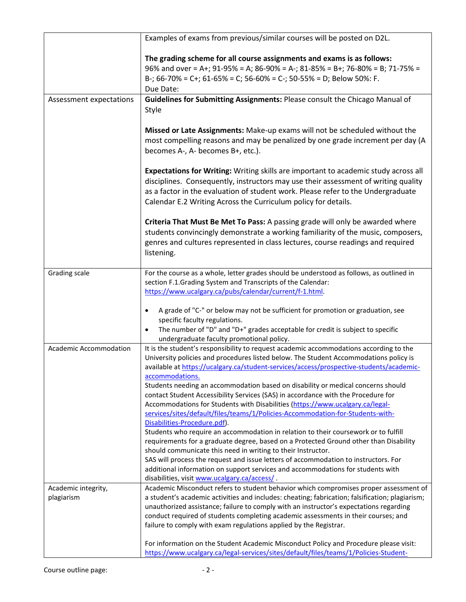|                                               | Examples of exams from previous/similar courses will be posted on D2L.                                                                                                                                                                                                                                                                                                                                                                                                                                                                                                                                                                                                                                                                                                                                                                                                                                                                                                                                                                                                                                                                                                                                                                                                                    |
|-----------------------------------------------|-------------------------------------------------------------------------------------------------------------------------------------------------------------------------------------------------------------------------------------------------------------------------------------------------------------------------------------------------------------------------------------------------------------------------------------------------------------------------------------------------------------------------------------------------------------------------------------------------------------------------------------------------------------------------------------------------------------------------------------------------------------------------------------------------------------------------------------------------------------------------------------------------------------------------------------------------------------------------------------------------------------------------------------------------------------------------------------------------------------------------------------------------------------------------------------------------------------------------------------------------------------------------------------------|
|                                               | The grading scheme for all course assignments and exams is as follows:<br>96% and over = A+; 91-95% = A; 86-90% = A-; 81-85% = B+; 76-80% = B; 71-75% =<br>B-; 66-70% = C+; 61-65% = C; 56-60% = C-; 50-55% = D; Below 50%: F.<br>Due Date:                                                                                                                                                                                                                                                                                                                                                                                                                                                                                                                                                                                                                                                                                                                                                                                                                                                                                                                                                                                                                                               |
| Assessment expectations                       | Guidelines for Submitting Assignments: Please consult the Chicago Manual of<br>Style                                                                                                                                                                                                                                                                                                                                                                                                                                                                                                                                                                                                                                                                                                                                                                                                                                                                                                                                                                                                                                                                                                                                                                                                      |
|                                               | Missed or Late Assignments: Make-up exams will not be scheduled without the<br>most compelling reasons and may be penalized by one grade increment per day (A<br>becomes A-, A- becomes B+, etc.).                                                                                                                                                                                                                                                                                                                                                                                                                                                                                                                                                                                                                                                                                                                                                                                                                                                                                                                                                                                                                                                                                        |
|                                               | Expectations for Writing: Writing skills are important to academic study across all<br>disciplines. Consequently, instructors may use their assessment of writing quality<br>as a factor in the evaluation of student work. Please refer to the Undergraduate<br>Calendar E.2 Writing Across the Curriculum policy for details.                                                                                                                                                                                                                                                                                                                                                                                                                                                                                                                                                                                                                                                                                                                                                                                                                                                                                                                                                           |
|                                               | Criteria That Must Be Met To Pass: A passing grade will only be awarded where<br>students convincingly demonstrate a working familiarity of the music, composers,<br>genres and cultures represented in class lectures, course readings and required<br>listening.                                                                                                                                                                                                                                                                                                                                                                                                                                                                                                                                                                                                                                                                                                                                                                                                                                                                                                                                                                                                                        |
| Grading scale                                 | For the course as a whole, letter grades should be understood as follows, as outlined in<br>section F.1.Grading System and Transcripts of the Calendar:<br>https://www.ucalgary.ca/pubs/calendar/current/f-1.html.                                                                                                                                                                                                                                                                                                                                                                                                                                                                                                                                                                                                                                                                                                                                                                                                                                                                                                                                                                                                                                                                        |
|                                               | A grade of "C-" or below may not be sufficient for promotion or graduation, see<br>$\bullet$<br>specific faculty regulations.<br>The number of "D" and "D+" grades acceptable for credit is subject to specific<br>$\bullet$                                                                                                                                                                                                                                                                                                                                                                                                                                                                                                                                                                                                                                                                                                                                                                                                                                                                                                                                                                                                                                                              |
| Academic Accommodation<br>Academic integrity, | undergraduate faculty promotional policy.<br>It is the student's responsibility to request academic accommodations according to the<br>University policies and procedures listed below. The Student Accommodations policy is<br>available at https://ucalgary.ca/student-services/access/prospective-students/academic-<br>accommodations.<br>Students needing an accommodation based on disability or medical concerns should<br>contact Student Accessibility Services (SAS) in accordance with the Procedure for<br>Accommodations for Students with Disabilities (https://www.ucalgary.ca/legal-<br>services/sites/default/files/teams/1/Policies-Accommodation-for-Students-with-<br>Disabilities-Procedure.pdf).<br>Students who require an accommodation in relation to their coursework or to fulfill<br>requirements for a graduate degree, based on a Protected Ground other than Disability<br>should communicate this need in writing to their Instructor.<br>SAS will process the request and issue letters of accommodation to instructors. For<br>additional information on support services and accommodations for students with<br>disabilities, visit www.ucalgary.ca/access/.<br>Academic Misconduct refers to student behavior which compromises proper assessment of |
| plagiarism                                    | a student's academic activities and includes: cheating; fabrication; falsification; plagiarism;<br>unauthorized assistance; failure to comply with an instructor's expectations regarding<br>conduct required of students completing academic assessments in their courses; and<br>failure to comply with exam regulations applied by the Registrar.                                                                                                                                                                                                                                                                                                                                                                                                                                                                                                                                                                                                                                                                                                                                                                                                                                                                                                                                      |
|                                               | For information on the Student Academic Misconduct Policy and Procedure please visit:<br>https://www.ucalgary.ca/legal-services/sites/default/files/teams/1/Policies-Student-                                                                                                                                                                                                                                                                                                                                                                                                                                                                                                                                                                                                                                                                                                                                                                                                                                                                                                                                                                                                                                                                                                             |